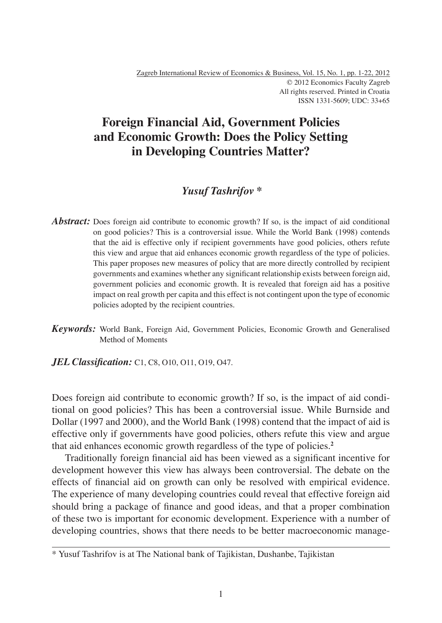# **Foreign Financial Aid, Government Policies and Economic Growth: Does the Policy Setting in Developing Countries Matter?**

## *Yusuf Tashrifov* **\***

- Abstract: Does foreign aid contribute to economic growth? If so, is the impact of aid conditional on good policies? This is a controversial issue. While the World Bank (1998) contends that the aid is effective only if recipient governments have good policies, others refute this view and argue that aid enhances economic growth regardless of the type of policies. This paper proposes new measures of policy that are more directly controlled by recipient governments and examines whether any significant relationship exists between foreign aid, government policies and economic growth. It is revealed that foreign aid has a positive impact on real growth per capita and this effect is not contingent upon the type of economic policies adopted by the recipient countries.
- *Keywords:* World Bank, Foreign Aid, Government Policies, Economic Growth and Generalised Method of Moments

*JEL Classification:* C1, C8, O10, O11, O19, O47.

Does foreign aid contribute to economic growth? If so, is the impact of aid conditional on good policies? This has been a controversial issue. While Burnside and Dollar (1997 and 2000), and the World Bank (1998) contend that the impact of aid is effective only if governments have good policies, others refute this view and argue that aid enhances economic growth regardless of the type of policies.**<sup>2</sup>**

Traditionally foreign financial aid has been viewed as a significant incentive for development however this view has always been controversial. The debate on the effects of financial aid on growth can only be resolved with empirical evidence. The experience of many developing countries could reveal that effective foreign aid should bring a package of finance and good ideas, and that a proper combination of these two is important for economic development. Experience with a number of developing countries, shows that there needs to be better macroeconomic manage-

<sup>\*</sup> Yusuf Tashrifov is at The National bank of Tajikistan, Dushanbe, Tajikistan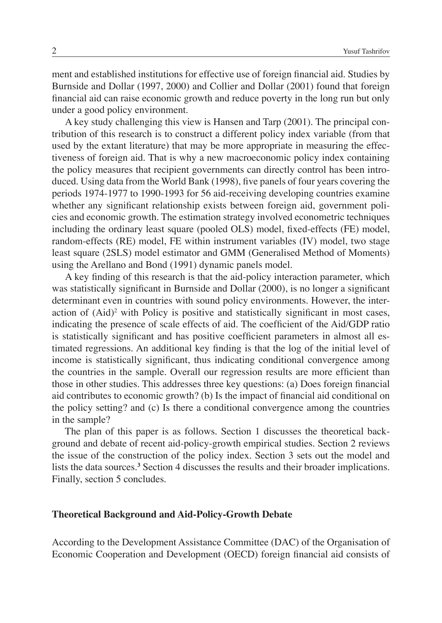ment and established institutions for effective use of foreign financial aid. Studies by Burnside and Dollar (1997, 2000) and Collier and Dollar (2001) found that foreign financial aid can raise economic growth and reduce poverty in the long run but only under a good policy environment.

A key study challenging this view is Hansen and Tarp (2001). The principal contribution of this research is to construct a different policy index variable (from that used by the extant literature) that may be more appropriate in measuring the effectiveness of foreign aid. That is why a new macroeconomic policy index containing the policy measures that recipient governments can directly control has been introduced. Using data from the World Bank (1998), five panels of four years covering the periods 1974-1977 to 1990-1993 for 56 aid-receiving developing countries examine whether any significant relationship exists between foreign aid, government policies and economic growth. The estimation strategy involved econometric techniques including the ordinary least square (pooled OLS) model, fixed-effects (FE) model, random-effects (RE) model, FE within instrument variables (IV) model, two stage least square (2SLS) model estimator and GMM (Generalised Method of Moments) using the Arellano and Bond (1991) dynamic panels model.

A key finding of this research is that the aid-policy interaction parameter, which was statistically significant in Burnside and Dollar (2000), is no longer a significant determinant even in countries with sound policy environments. However, the interaction of  $(Aid)^2$  with Policy is positive and statistically significant in most cases, indicating the presence of scale effects of aid. The coefficient of the Aid/GDP ratio is statistically significant and has positive coefficient parameters in almost all estimated regressions. An additional key finding is that the log of the initial level of income is statistically significant, thus indicating conditional convergence among the countries in the sample. Overall our regression results are more efficient than those in other studies. This addresses three key questions: (a) Does foreign financial aid contributes to economic growth? (b) Is the impact of financial aid conditional on the policy setting? and (c) Is there a conditional convergence among the countries in the sample?

The plan of this paper is as follows. Section 1 discusses the theoretical background and debate of recent aid-policy-growth empirical studies. Section 2 reviews the issue of the construction of the policy index. Section 3 sets out the model and lists the data sources.**<sup>3</sup>** Section 4 discusses the results and their broader implications. Finally, section 5 concludes.

#### **Theoretical Background and Aid-Policy-Growth Debate**

According to the Development Assistance Committee (DAC) of the Organisation of Economic Cooperation and Development (OECD) foreign financial aid consists of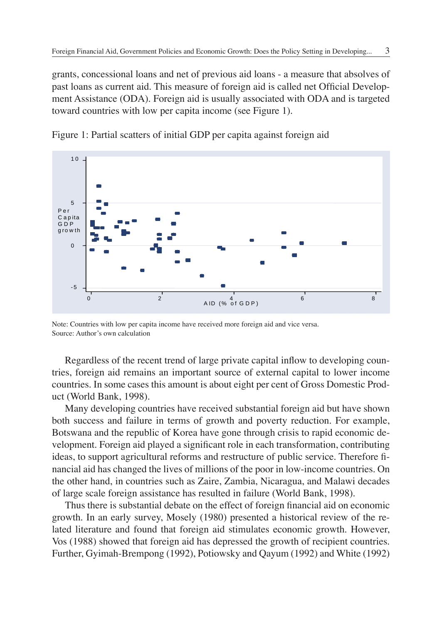grants, concessional loans and net of previous aid loans - a measure that absolves of past loans as current aid. This measure of foreign aid is called net Official Development Assistance (ODA). Foreign aid is usually associated with ODA and is targeted toward countries with low per capita income (see Figure 1).



Figure 1: Partial scatters of initial GDP per capita against foreign aid

Regardless of the recent trend of large private capital inflow to developing countries, foreign aid remains an important source of external capital to lower income countries. In some cases this amount is about eight per cent of Gross Domestic Product (World Bank, 1998).

Many developing countries have received substantial foreign aid but have shown both success and failure in terms of growth and poverty reduction. For example, Botswana and the republic of Korea have gone through crisis to rapid economic development. Foreign aid played a significant role in each transformation, contributing ideas, to support agricultural reforms and restructure of public service. Therefore financial aid has changed the lives of millions of the poor in low-income countries. On the other hand, in countries such as Zaire, Zambia, Nicaragua, and Malawi decades of large scale foreign assistance has resulted in failure (World Bank, 1998).

Thus there is substantial debate on the effect of foreign financial aid on economic growth. In an early survey, Mosely (1980) presented a historical review of the related literature and found that foreign aid stimulates economic growth. However, Vos (1988) showed that foreign aid has depressed the growth of recipient countries. Further, Gyimah-Brempong (1992), Potiowsky and Qayum (1992) and White (1992)

Note: Countries with low per capita income have received more foreign aid and vice versa. Source: Author's own calculation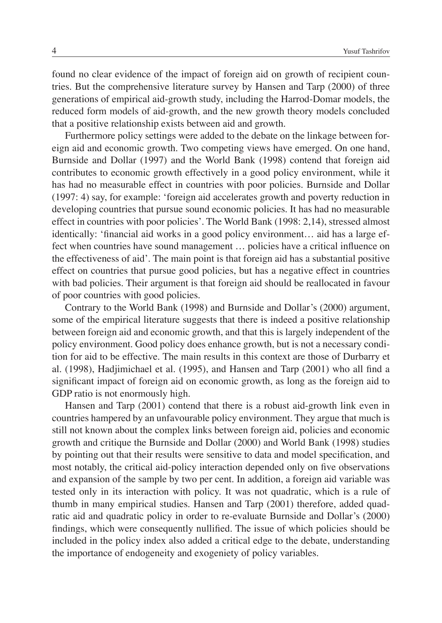found no clear evidence of the impact of foreign aid on growth of recipient countries. But the comprehensive literature survey by Hansen and Tarp (2000) of three generations of empirical aid-growth study, including the Harrod-Domar models, the reduced form models of aid-growth, and the new growth theory models concluded that a positive relationship exists between aid and growth.

Furthermore policy settings were added to the debate on the linkage between foreign aid and economic growth. Two competing views have emerged. On one hand, Burnside and Dollar (1997) and the World Bank (1998) contend that foreign aid contributes to economic growth effectively in a good policy environment, while it has had no measurable effect in countries with poor policies. Burnside and Dollar (1997: 4) say, for example: 'foreign aid accelerates growth and poverty reduction in developing countries that pursue sound economic policies. It has had no measurable effect in countries with poor policies'. The World Bank (1998: 2,14), stressed almost identically: 'financial aid works in a good policy environment... aid has a large effect when countries have sound management ... policies have a critical influence on the effectiveness of aid'. The main point is that foreign aid has a substantial positive effect on countries that pursue good policies, but has a negative effect in countries with bad policies. Their argument is that foreign aid should be reallocated in favour of poor countries with good policies.

Contrary to the World Bank (1998) and Burnside and Dollar's (2000) argument, some of the empirical literature suggests that there is indeed a positive relationship between foreign aid and economic growth, and that this is largely independent of the policy environment. Good policy does enhance growth, but is not a necessary condition for aid to be effective. The main results in this context are those of Durbarry et al. (1998), Hadjimichael et al. (1995), and Hansen and Tarp (2001) who all find a significant impact of foreign aid on economic growth, as long as the foreign aid to GDP ratio is not enormously high.

Hansen and Tarp (2001) contend that there is a robust aid-growth link even in countries hampered by an unfavourable policy environment. They argue that much is still not known about the complex links between foreign aid, policies and economic growth and critique the Burnside and Dollar (2000) and World Bank (1998) studies by pointing out that their results were sensitive to data and model specification, and most notably, the critical aid-policy interaction depended only on five observations and expansion of the sample by two per cent. In addition, a foreign aid variable was tested only in its interaction with policy. It was not quadratic, which is a rule of thumb in many empirical studies. Hansen and Tarp (2001) therefore, added quadratic aid and quadratic policy in order to re-evaluate Burnside and Dollar's (2000) findings, which were consequently nullified. The issue of which policies should be included in the policy index also added a critical edge to the debate, understanding the importance of endogeneity and exogeniety of policy variables.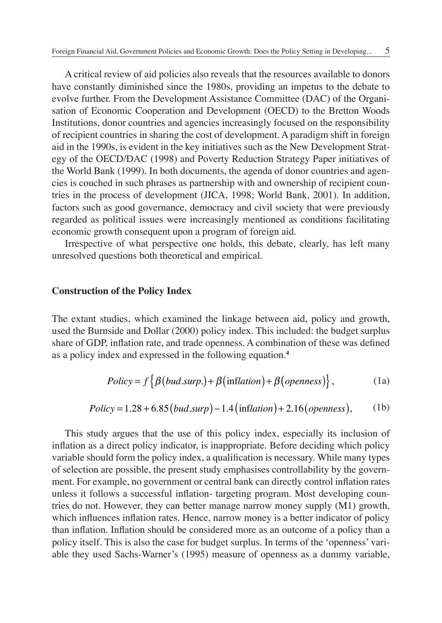A critical review of aid policies also reveals that the resources available to donors have constantly diminished since the 1980s, providing an impetus to the debate to evolve further. From the Development Assistance Committee (DAC) of the Organisation of Economic Cooperation and Development (OECD) to the Bretton Woods Institutions, donor countries and agencies increasingly focused on the responsibility of recipient countries in sharing the cost of development. A paradigm shift in foreign aid in the 1990s, is evident in the key initiatives such as the New Development Strategy of the OECD/DAC (1998) and Poverty Reduction Strategy Paper initiatives of the World Bank (1999). In both documents, the agenda of donor countries and agencies is couched in such phrases as partnership with and ownership of recipient countries in the process of development (JICA, 1998; World Bank, 2001). In addition, factors such as good governance, democracy and civil society that were previously regarded as political issues were increasingly mentioned as conditions facilitating economic growth consequent upon a program of foreign aid.

Irrespective of what perspective one holds, this debate, clearly, has left many unresolved questions both theoretical and empirical.

#### **Construction of the Policy Index**

The extant studies, which examined the linkage between aid, policy and growth, used the Burnside and Dollar (2000) policy index. This included: the budget surplus share of GDP, inflation rate, and trade openness. A combination of these was defined as a policy index and expressed in the following equation.**<sup>4</sup>**

$$
Policy = f \{ \beta (bud.sump.) + \beta (inflation) + \beta (openness) \},
$$
 (1a)

$$
Policy = 1.28 + 6.85 (bud.sum) - 1.4 (inflation) + 2.16 (openness), \qquad (1b)
$$

This study argues that the use of this policy index, especially its inclusion of inflation as a direct policy indicator, is inappropriate. Before deciding which policy variable should form the policy index, a qualification is necessary. While many types of selection are possible, the present study emphasises controllability by the government. For example, no government or central bank can directly control inflation rates unless it follows a successful inflation- targeting program. Most developing countries do not. However, they can better manage narrow money supply (M1) growth, which influences inflation rates. Hence, narrow money is a better indicator of policy than inflation. Inflation should be considered more as an outcome of a policy than a policy itself. This is also the case for budget surplus. In terms of the 'openness' variable they used Sachs-Warner's (1995) measure of openness as a dummy variable,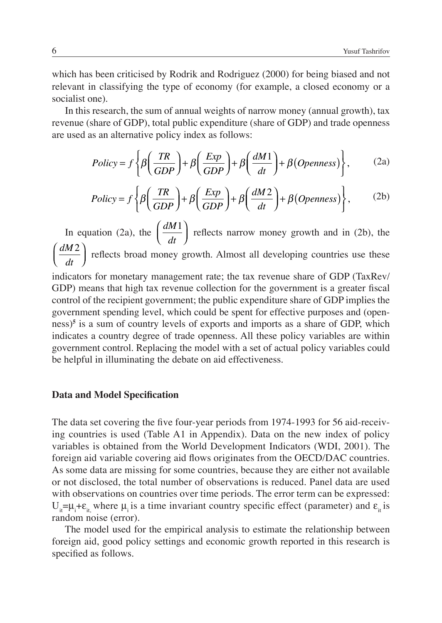which has been criticised by Rodrik and Rodriguez (2000) for being biased and not relevant in classifying the type of economy (for example, a closed economy or a socialist one).

In this research, the sum of annual weights of narrow money (annual growth), tax revenue (share of GDP), total public expenditure (share of GDP) and trade openness are used as an alternative policy index as follows:

$$
Policy = f \left\{ \beta \left( \frac{TR}{GDP} \right) + \beta \left( \frac{Exp}{GDP} \right) + \beta \left( \frac{dM1}{dt} \right) + \beta (Openness) \right\},
$$
 (2a)

$$
Policy = f \left\{ \beta \left( \frac{TR}{GDP} \right) + \beta \left( \frac{Exp}{GDP} \right) + \beta \left( \frac{dM2}{dt} \right) + \beta (Openness) \right\},
$$
 (2b)

In equation (2a), the  $\int \frac{dM}{dA}$ *dt*  $\int dM1$  $\left(\frac{dM_1}{dt}\right)$  reflects narrow money growth and in (2b), the *dM dt*  $\int$  dM2  $\left(\frac{dM2}{dt}\right)$  reflects broad money growth. Almost all developing countries use these

indicators for monetary management rate; the tax revenue share of GDP (TaxRev/ GDP) means that high tax revenue collection for the government is a greater fiscal control of the recipient government; the public expenditure share of GDP implies the government spending level, which could be spent for effective purposes and (openness)**<sup>5</sup>** is a sum of country levels of exports and imports as a share of GDP, which indicates a country degree of trade openness. All these policy variables are within government control. Replacing the model with a set of actual policy variables could be helpful in illuminating the debate on aid effectiveness.

#### **Data and Model Specification**

The data set covering the five four-year periods from 1974-1993 for 56 aid-receiving countries is used (Table A1 in Appendix). Data on the new index of policy variables is obtained from the World Development Indicators (WDI, 2001). The foreign aid variable covering aid flows originates from the OECD/DAC countries. As some data are missing for some countries, because they are either not available or not disclosed, the total number of observations is reduced. Panel data are used with observations on countries over time periods. The error term can be expressed:  $U_{it} = \mu_i + \varepsilon_{it}$  where  $\mu_i$  is a time invariant country specific effect (parameter) and  $\varepsilon_{it}$  is random noise (error).

The model used for the empirical analysis to estimate the relationship between foreign aid, good policy settings and economic growth reported in this research is specified as follows.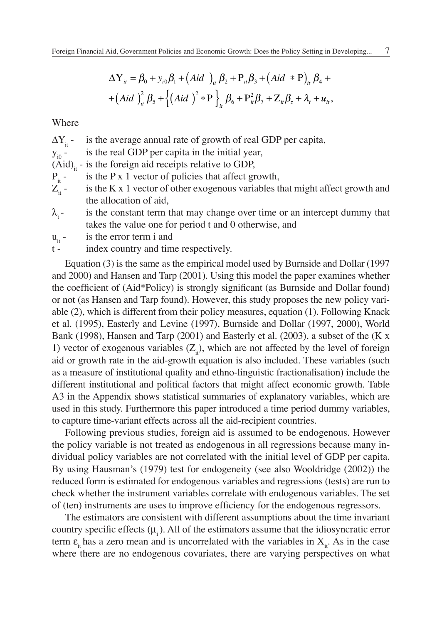$$
\Delta \mathbf{Y}_{ii} = \beta_0 + y_{i0}\beta_1 + (Aid)_{ii}\beta_2 + P_{ii}\beta_3 + (Aid * P)_{ii}\beta_4 +
$$
  
+
$$
+ (Aid)_{ii}^2 \beta_5 + \left\{ (Aid)^2 * P \right\}_{it} \beta_6 + P_{it}^2 \beta_7 + Z_{it}\beta_5 + \lambda_t + u_{it},
$$

Where

 $\Delta Y_{it}$  - is the average annual rate of growth of real GDP per capita,<br> $y_{i0}$  - is the real GDP per capita in the initial year,

is the real GDP per capita in the initial year,

 $(Aid)$ <sub>i</sub> - is the foreign aid receipts relative to GDP,

 $P_{it}$ - is the P x 1 vector of policies that affect growth,<br> $Z_{it}$ - is the K x 1 vector of other exogenous variables t

- is the K x 1 vector of other exogenous variables that might affect growth and the allocation of aid,
- $\lambda$ <sub>t</sub>- is the constant term that may change over time or an intercept dummy that takes the value one for period t and 0 otherwise, and
- $u_{it}$  is the error term i and<br>t index country and time
- index country and time respectively.

Equation (3) is the same as the empirical model used by Burnside and Dollar (1997 and 2000) and Hansen and Tarp (2001). Using this model the paper examines whether the coefficient of (Aid\*Policy) is strongly significant (as Burnside and Dollar found) or not (as Hansen and Tarp found). However, this study proposes the new policy variable (2), which is different from their policy measures, equation (1). Following Knack et al. (1995), Easterly and Levine (1997), Burnside and Dollar (1997, 2000), World Bank (1998), Hansen and Tarp (2001) and Easterly et al. (2003), a subset of the (K x 1) vector of exogenous variables  $(Z_{\mu})$ , which are not affected by the level of foreign aid or growth rate in the aid-growth equation is also included. These variables (such as a measure of institutional quality and ethno-linguistic fractionalisation) include the different institutional and political factors that might affect economic growth. Table A3 in the Appendix shows statistical summaries of explanatory variables, which are used in this study. Furthermore this paper introduced a time period dummy variables, to capture time-variant effects across all the aid-recipient countries.

Following previous studies, foreign aid is assumed to be endogenous. However the policy variable is not treated as endogenous in all regressions because many individual policy variables are not correlated with the initial level of GDP per capita. By using Hausman's (1979) test for endogeneity (see also Wooldridge (2002)) the reduced form is estimated for endogenous variables and regressions (tests) are run to check whether the instrument variables correlate with endogenous variables. The set of (ten) instruments are uses to improve efficiency for the endogenous regressors.

The estimators are consistent with different assumptions about the time invariant country specific effects  $(\mu)$ . All of the estimators assume that the idiosyncratic error term  $\varepsilon_{i}$  has a zero mean and is uncorrelated with the variables in  $X_{i}$ . As in the case where there are no endogenous covariates, there are varying perspectives on what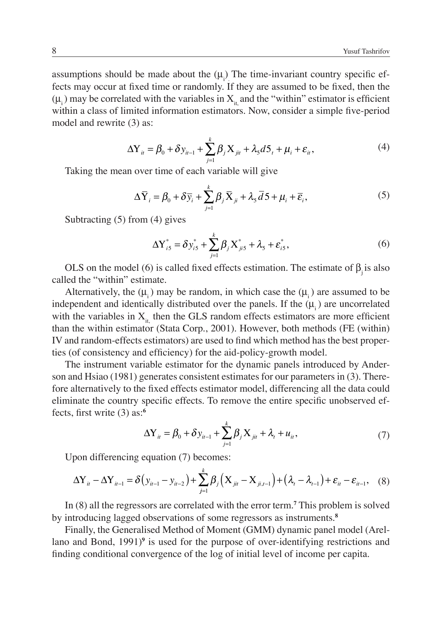assumptions should be made about the  $(\mu_i)$  The time-invariant country specific effects may occur at fixed time or randomly. If they are assumed to be fixed, then the  $(\mu_i)$  may be correlated with the variables in  $X_i$  and the "within" estimator is efficient within a class of limited information estimators. Now, consider a simple five-period model and rewrite (3) as:

$$
\Delta Y_{ii} = \beta_0 + \delta y_{ii-1} + \sum_{j=1}^{k} \beta_j X_{ji} + \lambda_s d5_t + \mu_i + \varepsilon_{ii},
$$
\n(4)

Taking the mean over time of each variable will give

$$
\Delta \overline{Y}_i = \beta_0 + \delta \overline{y}_i + \sum_{j=1}^k \beta_j \overline{X}_{ji} + \lambda_5 \overline{d} 5 + \mu_i + \overline{\varepsilon}_i,
$$
\n(5)

Subtracting (5) from (4) gives

$$
\Delta Y_{i5}^* = \delta y_{i5}^* + \sum_{j=1}^k \beta_j X_{ji5}^* + \lambda_5 + \varepsilon_{i5}^*,
$$
 (6)

OLS on the model (6) is called fixed effects estimation. The estimate of  $\beta$  is also called the "within" estimate.

Alternatively, the  $(\mu_{i})$  may be random, in which case the  $(\mu_{i})$  are assumed to be independent and identically distributed over the panels. If the  $(\mu_i)$  are uncorrelated with the variables in  $X_{it}$ , then the GLS random effects estimators are more efficient than the within estimator (Stata Corp., 2001). However, both methods (FE (within) IV and random-effects estimators) are used to find which method has the best properties (of consistency and efficiency) for the aid-policy-growth model.

The instrument variable estimator for the dynamic panels introduced by Anderson and Hsiao (1981) generates consistent estimates for our parameters in (3). Therefore alternatively to the fixed effects estimator model, differencing all the data could eliminate the country specific effects. To remove the entire specific unobserved effects, first write  $(3)$  as:<sup>6</sup>

$$
\Delta Y_{it} = \beta_0 + \delta y_{it-1} + \sum_{j=1}^{k} \beta_j X_{jit} + \lambda_t + u_{it},
$$
\n(7)

Upon differencing equation (7) becomes:

$$
\Delta Y_{it} - \Delta Y_{it-1} = \delta \left( y_{it-1} - y_{it-2} \right) + \sum_{j=1}^{k} \beta_j \left( X_{jit} - X_{ji,t-1} \right) + \left( \lambda_t - \lambda_{t-1} \right) + \varepsilon_{it} - \varepsilon_{it-1}, \quad (8)
$$

In (8) all the regressors are correlated with the error term.**<sup>7</sup>** This problem is solved by introducing lagged observations of some regressors as instruments.**<sup>8</sup>**

Finally, the Generalised Method of Moment (GMM) dynamic panel model (Arellano and Bond, 1991)<sup>9</sup> is used for the purpose of over-identifying restrictions and finding conditional convergence of the log of initial level of income per capita.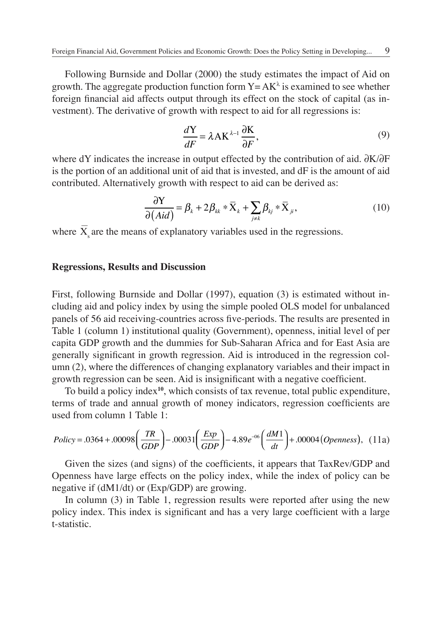Following Burnside and Dollar (2000) the study estimates the impact of Aid on growth. The aggregate production function form  $Y = AK^{\lambda}$  is examined to see whether foreign financial aid affects output through its effect on the stock of capital (as investment). The derivative of growth with respect to aid for all regressions is:

$$
\frac{d\mathbf{Y}}{dF} = \lambda \mathbf{A} \mathbf{K}^{\lambda - 1} \frac{\partial \mathbf{K}}{\partial F},\tag{9}
$$

where dY indicates the increase in output effected by the contribution of aid. ∂K/∂F is the portion of an additional unit of aid that is invested, and dF is the amount of aid contributed. Alternatively growth with respect to aid can be derived as:

$$
\frac{\partial Y}{\partial (Aid)} = \beta_k + 2\beta_{kk} * \overline{X}_k + \sum_{j \neq k} \beta_{kj} * \overline{X}_{ji},
$$
\n(10)

where  $\overline{X}$  are the means of explanatory variables used in the regressions.

#### **Regressions, Results and Discussion**

First, following Burnside and Dollar (1997), equation (3) is estimated without including aid and policy index by using the simple pooled OLS model for unbalanced panels of 56 aid receiving-countries across five-periods. The results are presented in Table 1 (column 1) institutional quality (Government), openness, initial level of per capita GDP growth and the dummies for Sub-Saharan Africa and for East Asia are generally significant in growth regression. Aid is introduced in the regression column (2), where the differences of changing explanatory variables and their impact in growth regression can be seen. Aid is insignificant with a negative coefficient.

To build a policy index**<sup>10</sup>**, which consists of tax revenue, total public expenditure, terms of trade and annual growth of money indicators, regression coefficients are used from column 1 Table 1:

$$
Policy = .0364 + .00098 \left( \frac{TR}{GDP} \right) - .00031 \left( \frac{Exp}{GDP} \right) - 4.89e^{-06} \left( \frac{dM1}{dt} \right) + .00004 \left( Openness \right), (11a)
$$

Given the sizes (and signs) of the coefficients, it appears that TaxRev/GDP and Openness have large effects on the policy index, while the index of policy can be negative if (dM1/dt) or (Exp/GDP) are growing.

In column (3) in Table 1, regression results were reported after using the new policy index. This index is significant and has a very large coefficient with a large t-statistic.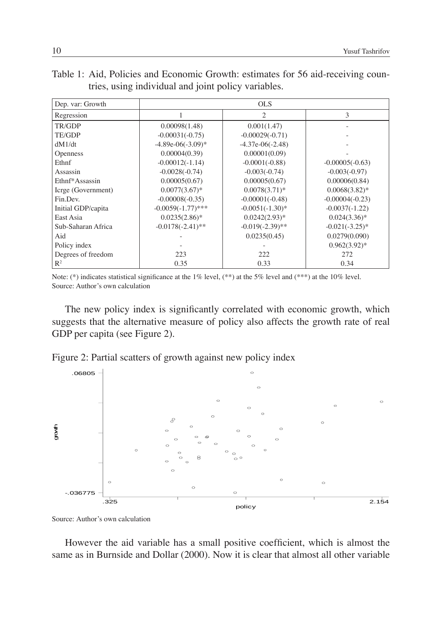| Dep. var: Growth   |                      | <b>OLS</b>         |                   |
|--------------------|----------------------|--------------------|-------------------|
| Regression         |                      | $\mathfrak{D}$     | 3                 |
| TR/GDP             | 0.00098(1.48)        | 0.001(1.47)        |                   |
| TE/GDP             | $-0.00031(-0.75)$    | $-0.00029(-0.71)$  |                   |
| dM1/dt             | $-4.89e-06(-3.09)$ * | $-4.37e-06(-2.48)$ |                   |
| <b>Openness</b>    | 0.00004(0.39)        | 0.00001(0.09)      |                   |
| Ethnf              | $-0.00012(-1.14)$    | $-0.0001(-0.88)$   | $-0.00005(-0.63)$ |
| Assassin           | $-0.0028(-0.74)$     | $-0.003(-0.74)$    | $-0.003(-0.97)$   |
| Ethnf*Assassin     | 0.00005(0.67)        | 0.00005(0.67)      | 0.00006(0.84)     |
| Icrge (Government) | $0.0077(3.67)^*$     | $0.0078(3.71)*$    | $0.0068(3.82)$ *  |
| Fin.Dev.           | $-0.00008(-0.35)$    | $-0.00001(-0.48)$  | $-0.00004(-0.23)$ |
| Initial GDP/capita | $-0.0059(-1.77)$ *** | $-0.0051(-1.30)$ * | $-0.0037(-1.22)$  |
| East Asia          | $0.0235(2.86)^*$     | $0.0242(2.93)*$    | $0.024(3.36)*$    |
| Sub-Saharan Africa | $-0.0178(-2.41)$ **  | $-0.019(-2.39)$ ** | $-0.021(-3.25)$ * |
| Aid                |                      | 0.0235(0.45)       | 0.0279(0.090)     |
| Policy index       |                      |                    | $0.962(3.92)*$    |
| Degrees of freedom | 223                  | 222                | 272               |
| $\mathbb{R}^2$     | 0.35                 | 0.33               | 0.34              |

|  | Table 1: Aid, Policies and Economic Growth: estimates for 56 aid-receiving coun- |  |  |  |
|--|----------------------------------------------------------------------------------|--|--|--|
|  | tries, using individual and joint policy variables.                              |  |  |  |

Note: (\*) indicates statistical significance at the 1% level, (\*\*) at the 5% level and (\*\*\*) at the 10% level. Source: Author's own calculation

The new policy index is significantly correlated with economic growth, which suggests that the alternative measure of policy also affects the growth rate of real GDP per capita (see Figure 2).

Figure 2: Partial scatters of growth against new policy index



Source: Author's own calculation

However the aid variable has a small positive coefficient, which is almost the same as in Burnside and Dollar (2000). Now it is clear that almost all other variable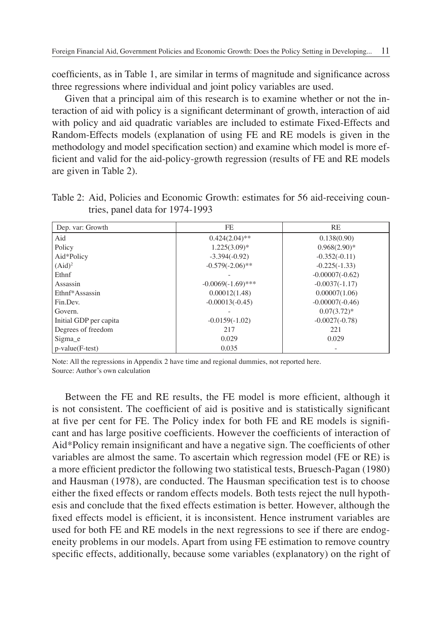coefficients, as in Table 1, are similar in terms of magnitude and significance across three regressions where individual and joint policy variables are used.

Given that a principal aim of this research is to examine whether or not the interaction of aid with policy is a significant determinant of growth, interaction of aid with policy and aid quadratic variables are included to estimate Fixed-Effects and Random-Effects models (explanation of using FE and RE models is given in the methodology and model specification section) and examine which model is more efficient and valid for the aid-policy-growth regression (results of FE and RE models are given in Table 2).

Table 2: Aid, Policies and Economic Growth: estimates for 56 aid-receiving countries, panel data for 1974-1993

| Dep. var: Growth       | FE.                  | RE                |
|------------------------|----------------------|-------------------|
| Aid                    | $0.424(2.04)$ **     | 0.138(0.90)       |
| Policy                 | $1.225(3.09)^*$      | $0.968(2.90)$ *   |
| Aid*Policy             | $-3.394(-0.92)$      | $-0.352(-0.11)$   |
| $(Aid)^2$              | $-0.579(-2.06)$ **   | $-0.225(-1.33)$   |
| Ethnf                  |                      | $-0.00007(-0.62)$ |
| Assassin               | $-0.0069(-1.69)$ *** | $-0.0037(-1.17)$  |
| Ethnf*Assassin         | 0.00012(1.48)        | 0.00007(1.06)     |
| Fin.Dev.               | $-0.00013(-0.45)$    | $-0.00007(-0.46)$ |
| Govern.                |                      | $0.07(3.72)^*$    |
| Initial GDP per capita | $-0.0159(-1.02)$     | $-0.0027(-0.78)$  |
| Degrees of freedom     | 217                  | 221               |
| Sigma e                | 0.029                | 0.029             |
| $p-value(F-test)$      | 0.035                |                   |

Note: All the regressions in Appendix 2 have time and regional dummies, not reported here. Source: Author's own calculation

Between the FE and RE results, the FE model is more efficient, although it is not consistent. The coefficient of aid is positive and is statistically significant at five per cent for FE. The Policy index for both FE and RE models is significant and has large positive coefficients. However the coefficients of interaction of Aid\*Policy remain insignificant and have a negative sign. The coefficients of other variables are almost the same. To ascertain which regression model (FE or RE) is a more efficient predictor the following two statistical tests, Bruesch-Pagan (1980) and Hausman (1978), are conducted. The Hausman specification test is to choose either the fixed effects or random effects models. Both tests reject the null hypothesis and conclude that the fixed effects estimation is better. However, although the fixed effects model is efficient, it is inconsistent. Hence instrument variables are used for both FE and RE models in the next regressions to see if there are endogeneity problems in our models. Apart from using FE estimation to remove country specific effects, additionally, because some variables (explanatory) on the right of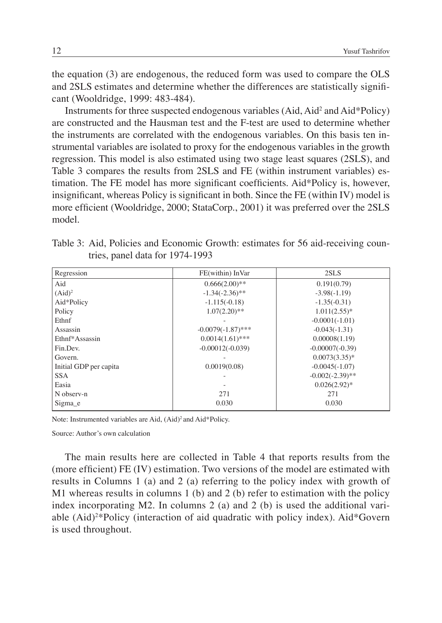the equation (3) are endogenous, the reduced form was used to compare the OLS and 2SLS estimates and determine whether the differences are statistically signifi cant (Wooldridge, 1999: 483-484).

Instruments for three suspected endogenous variables (Aid, Aid<sup>2</sup> and Aid\*Policy) are constructed and the Hausman test and the F-test are used to determine whether the instruments are correlated with the endogenous variables. On this basis ten instrumental variables are isolated to proxy for the endogenous variables in the growth regression. This model is also estimated using two stage least squares (2SLS), and Table 3 compares the results from 2SLS and FE (within instrument variables) estimation. The FE model has more significant coefficients. Aid\*Policy is, however, insignificant, whereas Policy is significant in both. Since the FE (within IV) model is more efficient (Wooldridge, 2000; StataCorp., 2001) it was preferred over the 2SLS model.

|  |                                 |  | Table 3: Aid, Policies and Economic Growth: estimates for 56 aid-receiving coun- |  |  |
|--|---------------------------------|--|----------------------------------------------------------------------------------|--|--|
|  | tries, panel data for 1974-1993 |  |                                                                                  |  |  |

| Regression             | FE(within) InVar     | 2SLS               |
|------------------------|----------------------|--------------------|
| Aid                    | $0.666(2.00)$ **     | 0.191(0.79)        |
| (Aid) <sup>2</sup>     | $-1.34(-2.36)$ **    | $-3.98(-1.19)$     |
| Aid*Policy             | $-1.115(-0.18)$      | $-1.35(-0.31)$     |
| Policy                 | $1.07(2.20)$ **      | $1.011(2.55)*$     |
| Ethnf                  |                      | $-0.0001(-1.01)$   |
| Assassin               | $-0.0079(-1.87)$ *** | $-0.043(-1.31)$    |
| Ethnf*Assassin         | $0.0014(1.61)$ ***   | 0.00008(1.19)      |
| Fin.Dev.               | $-0.00012(-0.039)$   | $-0.00007(-0.39)$  |
| Govern.                |                      | $0.0073(3.35)^*$   |
| Initial GDP per capita | 0.0019(0.08)         | $-0.0045(-1.07)$   |
| <b>SSA</b>             |                      | $-0.002(-2.39)$ ** |
| Easia                  |                      | $0.026(2.92)^*$    |
| N observ-n             | 271                  | 271                |
| Sigma e                | 0.030                | 0.030              |

Note: Instrumented variables are Aid, (Aid)<sup>2</sup> and Aid\*Policy.

Source: Author's own calculation

The main results here are collected in Table 4 that reports results from the (more efficient) FE  $(IV)$  estimation. Two versions of the model are estimated with results in Columns 1 (a) and 2 (a) referring to the policy index with growth of M1 whereas results in columns 1 (b) and 2 (b) refer to estimation with the policy index incorporating M2. In columns 2 (a) and 2 (b) is used the additional variable (Aid)<sup>2\*</sup>Policy (interaction of aid quadratic with policy index). Aid\*Govern is used throughout.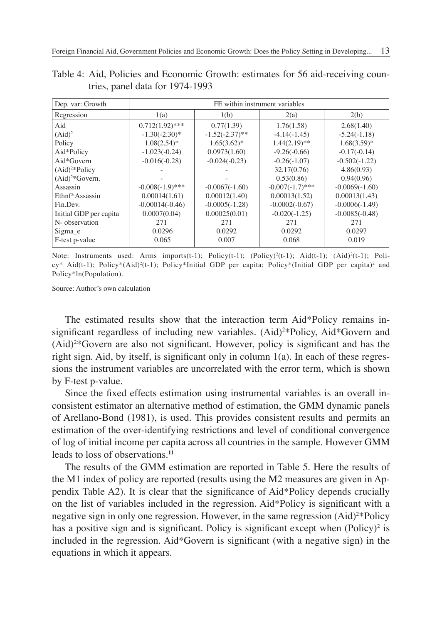| Dep. var: Growth       | FE within instrument variables |                   |                    |                  |  |
|------------------------|--------------------------------|-------------------|--------------------|------------------|--|
| Regression             | 1(a)                           | 1(b)              | 2(a)               | 2(b)             |  |
| Aid                    | $0.712(1.92)$ ***              | 0.77(1.39)        | 1.76(1.58)         | 2.68(1.40)       |  |
| $(Aid)^2$              | $-1.30(-2.30)^*$               | $-1.52(-2.37)$ ** | $-4.14(-1.45)$     | $-5.24(-1.18)$   |  |
| Policy                 | $1.08(2.54)$ *                 | $1.65(3.62)^{*}$  | $1.44(2.19)$ **    | $1.68(3.59)$ *   |  |
| Aid*Policy             | $-1.023(-0.24)$                | 0.0973(1.60)      | $-9.26(-0.66)$     | $-0.17(-0.14)$   |  |
| Aid*Govern             | $-0.016(-0.28)$                | $-0.024(-0.23)$   | $-0.26(-1.07)$     | $-0.502(-1.22)$  |  |
| $(Aid)^{2*}$ Policy    |                                |                   | 32.17(0.76)        | 4.86(0.93)       |  |
| $(Aid)^{2*}Govern$ .   |                                |                   | 0.53(0.86)         | 0.94(0.96)       |  |
| Assassin               | $-0.008(-1.9)$ ***             | $-0.0067(-1.60)$  | $-0.007(-1.7)$ *** | $-0.0069(-1.60)$ |  |
| Ethnf*Assassin         | 0.00014(1.61)                  | 0.00012(1.40)     | 0.00013(1.52)      | 0.00013(1.43)    |  |
| Fin.Dev.               | $-0.00014(-0.46)$              | $-0.0005(-1.28)$  | $-0.0002(-0.67)$   | $-0.0006(-1.49)$ |  |
| Initial GDP per capita | 0.0007(0.04)                   | 0.00025(0.01)     | $-0.020(-1.25)$    | $-0.0085(-0.48)$ |  |
| N- observation         | 271                            | 271               | 271                | 271              |  |
| Sigma e                | 0.0296                         | 0.0292            | 0.0292             | 0.0297           |  |
| F-test p-value         | 0.065                          | 0.007             | 0.068              | 0.019            |  |

Table 4: Aid, Policies and Economic Growth: estimates for 56 aid-receiving countries, panel data for 1974-1993

Note: Instruments used: Arms imports(t-1); Policy(t-1); (Policy)<sup>2</sup>(t-1); Aid(t-1); (Aid)<sup>2</sup>(t-1); Policy\* Aid(t-1); Policy\*(Aid)<sup>2</sup>(t-1); Policy\*Initial GDP per capita; Policy\*(Initial GDP per capita)<sup>2</sup> and Policy\*ln(Population).

Source: Author's own calculation

The estimated results show that the interaction term Aid\*Policy remains insignificant regardless of including new variables. (Aid)<sup>2\*</sup>Policy, Aid<sup>\*</sup>Govern and  $(Aid)^{2*}$ Govern are also not significant. However, policy is significant and has the right sign. Aid, by itself, is significant only in column  $1(a)$ . In each of these regressions the instrument variables are uncorrelated with the error term, which is shown by F-test p-value.

Since the fixed effects estimation using instrumental variables is an overall inconsistent estimator an alternative method of estimation, the GMM dynamic panels of Arellano-Bond (1981), is used. This provides consistent results and permits an estimation of the over-identifying restrictions and level of conditional convergence of log of initial income per capita across all countries in the sample. However GMM leads to loss of observations.**<sup>11</sup>**

The results of the GMM estimation are reported in Table 5. Here the results of the M1 index of policy are reported (results using the M2 measures are given in Appendix Table A2). It is clear that the significance of  $\text{Aid*Policy}$  depends crucially on the list of variables included in the regression. Aid\*Policy is significant with a negative sign in only one regression. However, in the same regression (Aid)<sup>2\*</sup>Policy has a positive sign and is significant. Policy is significant except when  $(Policy)^2$  is included in the regression. Aid\*Govern is significant (with a negative sign) in the equations in which it appears.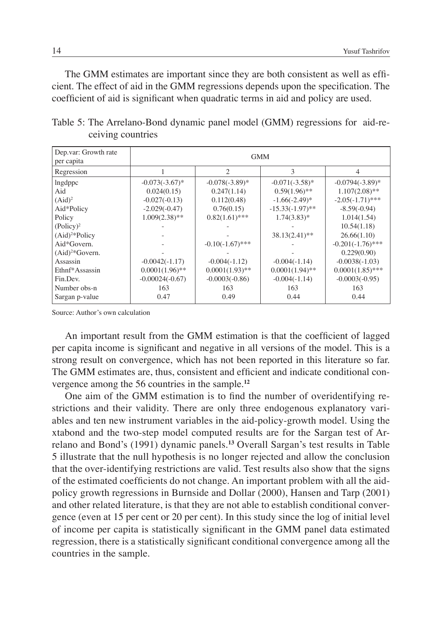The GMM estimates are important since they are both consistent as well as efficient. The effect of aid in the GMM regressions depends upon the specification. The coefficient of aid is significant when quadratic terms in aid and policy are used.

| Dep.var: Growth rate<br>per capita | <b>GMM</b>        |                    |                    |                     |  |
|------------------------------------|-------------------|--------------------|--------------------|---------------------|--|
| Regression                         |                   | $\mathcal{L}$      | 3                  | 4                   |  |
| lngdppc                            | $-0.073(-3.67)$ * | $-0.078(-3.89)$ *  | $-0.071(-3.58)$ *  | $-0.0794(-3.89)$ *  |  |
| Aid                                | 0.024(0.15)       | 0.247(1.14)        | $0.59(1.96)$ **    | $1.107(2.08)$ **    |  |
| $(Aid)^2$                          | $-0.027(-0.13)$   | 0.112(0.48)        | $-1.66(-2.49)$ *   | $-2.05(-1.71)$ ***  |  |
| Aid*Policy                         | $-2.029(-0.47)$   | 0.76(0.15)         | $-15.33(-1.97)$ ** | $-8.59(-0.94)$      |  |
| Policy                             | $1.009(2.38)$ **  | $0.82(1.61)$ ***   | $1.74(3.83)*$      | 1.014(1.54)         |  |
| $(Policy)^2$                       |                   |                    |                    | 10.54(1.18)         |  |
| $(Aid)^{2*}$ Policy                |                   |                    | $38.13(2.41)$ **   | 26.66(1.10)         |  |
| Aid*Govern.                        |                   | $-0.10(-1.67)$ *** |                    | $-0.201(-1.76)$ *** |  |
| $(Aid)^{2*}Govern.$                |                   |                    |                    | 0.229(0.90)         |  |
| Assassin                           | $-0.0042(-1.17)$  | $-0.004(-1.12)$    | $-0.004(-1.14)$    | $-0.0038(-1.03)$    |  |
| Ethnf*Assassin                     | $0.0001(1.96)$ ** | $0.0001(1.93)$ **  | $0.0001(1.94)$ **  | $0.0001(1.85)$ ***  |  |
| Fin.Dev.                           | $-0.00024(-0.67)$ | $-0.0003(-0.86)$   | $-0.004(-1.14)$    | $-0.0003(-0.95)$    |  |
| Number obs-n                       | 163               | 163                | 163                | 163                 |  |
| Sargan p-value                     | 0.47              | 0.49               | 0.44               | 0.44                |  |

Table 5: The Arrelano-Bond dynamic panel model (GMM) regressions for aid-receiving countries

Source: Author's own calculation

An important result from the GMM estimation is that the coefficient of lagged per capita income is significant and negative in all versions of the model. This is a strong result on convergence, which has not been reported in this literature so far. The GMM estimates are, thus, consistent and efficient and indicate conditional convergence among the 56 countries in the sample.**<sup>12</sup>**

One aim of the GMM estimation is to find the number of overidentifying restrictions and their validity. There are only three endogenous explanatory variables and ten new instrument variables in the aid-policy-growth model. Using the xtabond and the two-step model computed results are for the Sargan test of Arrelano and Bond's (1991) dynamic panels.**<sup>13</sup>** Overall Sargan's test results in Table 5 illustrate that the null hypothesis is no longer rejected and allow the conclusion that the over-identifying restrictions are valid. Test results also show that the signs of the estimated coefficients do not change. An important problem with all the aidpolicy growth regressions in Burnside and Dollar (2000), Hansen and Tarp (2001) and other related literature, is that they are not able to establish conditional convergence (even at 15 per cent or 20 per cent). In this study since the log of initial level of income per capita is statistically significant in the GMM panel data estimated regression, there is a statistically significant conditional convergence among all the countries in the sample.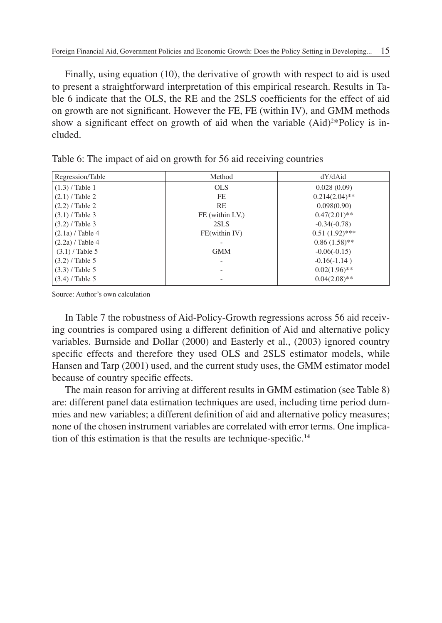Finally, using equation (10), the derivative of growth with respect to aid is used to present a straightforward interpretation of this empirical research. Results in Table 6 indicate that the OLS, the RE and the 2SLS coefficients for the effect of aid on growth are not significant. However the FE, FE (within IV), and GMM methods show a significant effect on growth of aid when the variable (Aid)<sup>2\*</sup>Policy is included.

| Regression/Table   | Method           | dY/dAid          |
|--------------------|------------------|------------------|
| $(1.3)$ / Table 1  | <b>OLS</b>       | 0.028(0.09)      |
| $(2.1)$ / Table 2  | FE.              | $0.214(2.04)$ ** |
| $(2.2)$ / Table 2  | RE               | 0.098(0.90)      |
| $(3.1)$ / Table 3  | FE (within I.V.) | $0.47(2.01)$ **  |
| $(3.2)$ / Table 3  | 2SLS             | $-0.34(-0.78)$   |
| $(2.1a)$ / Table 4 | FE(within IV)    | $0.51(1.92)$ *** |
| $(2.2a)$ / Table 4 |                  | $0.86(1.58)$ **  |
| $(3.1)$ / Table 5  | <b>GMM</b>       | $-0.06(-0.15)$   |
| $(3.2)$ / Table 5  |                  | $-0.16(-1.14)$   |
| $(3.3)$ / Table 5  |                  | $0.02(1.96)$ **  |
| $(3.4)$ / Table 5  |                  | $0.04(2.08)$ **  |

Table 6: The impact of aid on growth for 56 aid receiving countries

Source: Author's own calculation

In Table 7 the robustness of Aid-Policy-Growth regressions across 56 aid receiving countries is compared using a different definition of Aid and alternative policy variables. Burnside and Dollar (2000) and Easterly et al., (2003) ignored country specific effects and therefore they used OLS and 2SLS estimator models, while Hansen and Tarp (2001) used, and the current study uses, the GMM estimator model because of country specific effects.

The main reason for arriving at different results in GMM estimation (see Table 8) are: different panel data estimation techniques are used, including time period dummies and new variables; a different definition of aid and alternative policy measures; none of the chosen instrument variables are correlated with error terms. One implication of this estimation is that the results are technique-specific.<sup>14</sup>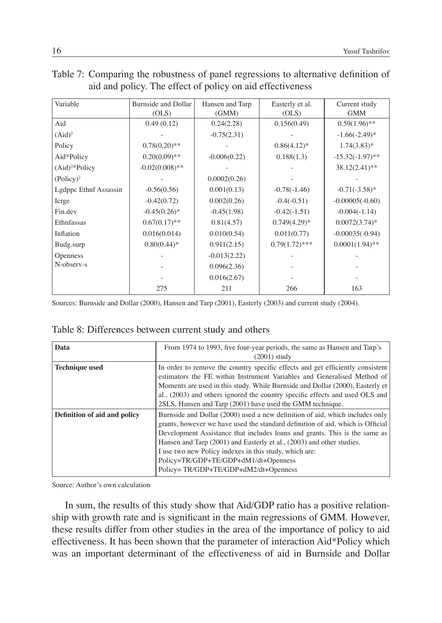| Variable              | <b>Burnside and Dollar</b><br>(OLS) | Hansen and Tarp<br>(GMM) | Easterly et al.<br>(OLS) | Current study<br><b>GMM</b> |
|-----------------------|-------------------------------------|--------------------------|--------------------------|-----------------------------|
| Aid                   | 0.49(0.12)                          | 0.24(2.28)               | 0.156(0.49)              | $0.59(1.96)$ **             |
| $(Aid)^2$             |                                     | $-0.75(2.31)$            |                          | $-1.66(-2.49)$ *            |
| Policy                | $0.78(0.20)$ **                     |                          | $0.86(4.12)^*$           | $1.74(3.83)*$               |
| Aid*Policy            | $0.20(0.09)$ **                     | $-0.006(0.22)$           | 0.188(1.3)               | $-15.32(-1.97)$ **          |
| $(Aid)^{2*}$ Policy   | $-0.02(0.008)$ **                   |                          |                          | 38.12(2.41)**               |
| $(Policy)^2$          |                                     | 0.0002(0.26)             |                          |                             |
| Lgdppc Ethnf Assassin | $-0.56(0.56)$                       | 0.001(0.13)              | $-0.78(-1.46)$           | $-0.71(-3.58)$ *            |
| Icrge                 | $-0.42(0.72)$                       | 0.002(0.26)              | $-0.4(-0.51)$            | $-0.00005(-0.60)$           |
| Fin.dev               | $-0.45(0.26)^*$                     | $-0.45(1.98)$            | $-0.42(-1.51)$           | $-0.004(-1.14)$             |
| Ethnfassas            | $0.67(0.17)$ **                     | 0.81(4.57)               | $0.749(4.29)^*$          | $0.0072(3.74)$ *            |
| Inflation             | 0.016(0.014)                        | 0.010(0.54)              | 0.011(0.77)              | $-0.00035(-0.94)$           |
| Budg.surp             | $0.80(0.44)$ *                      | 0.911(2.15)              | $0.79(1.72)$ ***         | $0.0001(1.94)$ **           |
| <b>Openness</b>       |                                     | $-0.013(2.22)$           |                          |                             |
| N-observ-s            |                                     | 0.096(2.36)              |                          |                             |
|                       |                                     | 0.016(2.67)              |                          |                             |
|                       | 275                                 | 211                      | 266                      | 163                         |

| Table 7: Comparing the robustness of panel regressions to alternative definition of |  |
|-------------------------------------------------------------------------------------|--|
| aid and policy. The effect of policy on aid effectiveness                           |  |

Sources: Burnside and Dollar (2000), Hansen and Tarp (2001), Easterly (2003) and current study (2004).

| Table 8: Differences between current study and others |  |  |  |  |  |
|-------------------------------------------------------|--|--|--|--|--|
|-------------------------------------------------------|--|--|--|--|--|

| Data                         | From 1974 to 1993, five four-year periods, the same as Hansen and Tarp's<br>$(2001)$ study                                                                                                                                                                                                                                                                                                                                                                      |
|------------------------------|-----------------------------------------------------------------------------------------------------------------------------------------------------------------------------------------------------------------------------------------------------------------------------------------------------------------------------------------------------------------------------------------------------------------------------------------------------------------|
| <b>Technique used</b>        | In order to remove the country specific effects and get efficiently consistent<br>estimators the FE within Instrument Variables and Generalised Method of<br>Moments are used in this study. While Burnside and Dollar (2000), Easterly et<br>al., (2003) and others ignored the country specific effects and used OLS and<br>2SLS, Hansen and Tarp (2001) have used the GMM technique.                                                                         |
| Definition of aid and policy | Burnside and Dollar (2000) used a new definition of aid, which includes only<br>grants, however we have used the standard definition of aid, which is Official<br>Development Assistance that includes loans and grants. This is the same as<br>Hansen and Tarp (2001) and Easterly et al., (2003) and other studies.<br>I use two new Policy indexes in this study, which are:<br>Policy=TR/GDP+TE/GDP+dM1/dt+Openness<br>Policy=TR/GDP+TE/GDP+dM2/dt+Openness |

Source: Author's own calculation

In sum, the results of this study show that Aid/GDP ratio has a positive relationship with growth rate and is significant in the main regressions of GMM. However, these results differ from other studies in the area of the importance of policy to aid effectiveness. It has been shown that the parameter of interaction Aid\*Policy which was an important determinant of the effectiveness of aid in Burnside and Dollar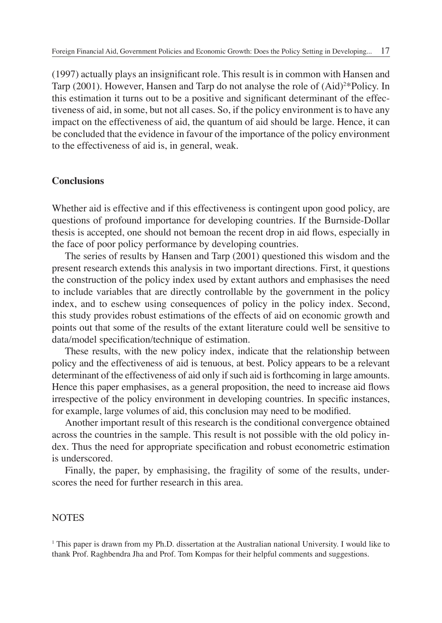(1997) actually plays an insignificant role. This result is in common with Hansen and Tarp (2001). However, Hansen and Tarp do not analyse the role of (Aid)<sup>2\*</sup>Policy. In this estimation it turns out to be a positive and significant determinant of the effectiveness of aid, in some, but not all cases. So, if the policy environment is to have any impact on the effectiveness of aid, the quantum of aid should be large. Hence, it can be concluded that the evidence in favour of the importance of the policy environment to the effectiveness of aid is, in general, weak.

### **Conclusions**

Whether aid is effective and if this effectiveness is contingent upon good policy, are questions of profound importance for developing countries. If the Burnside-Dollar thesis is accepted, one should not bemoan the recent drop in aid flows, especially in the face of poor policy performance by developing countries.

The series of results by Hansen and Tarp (2001) questioned this wisdom and the present research extends this analysis in two important directions. First, it questions the construction of the policy index used by extant authors and emphasises the need to include variables that are directly controllable by the government in the policy index, and to eschew using consequences of policy in the policy index. Second, this study provides robust estimations of the effects of aid on economic growth and points out that some of the results of the extant literature could well be sensitive to data/model specification/technique of estimation.

These results, with the new policy index, indicate that the relationship between policy and the effectiveness of aid is tenuous, at best. Policy appears to be a relevant determinant of the effectiveness of aid only if such aid is forthcoming in large amounts. Hence this paper emphasises, as a general proposition, the need to increase aid flows irrespective of the policy environment in developing countries. In specific instances, for example, large volumes of aid, this conclusion may need to be modified.

Another important result of this research is the conditional convergence obtained across the countries in the sample. This result is not possible with the old policy index. Thus the need for appropriate specification and robust econometric estimation is underscored.

Finally, the paper, by emphasising, the fragility of some of the results, underscores the need for further research in this area.

#### **NOTES**

1 This paper is drawn from my Ph.D. dissertation at the Australian national University. I would like to thank Prof. Raghbendra Jha and Prof. Tom Kompas for their helpful comments and suggestions.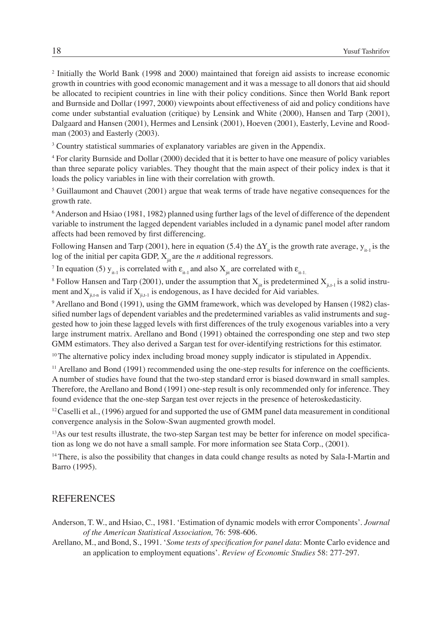<sup>2</sup> Initially the World Bank (1998 and 2000) maintained that foreign aid assists to increase economic growth in countries with good economic management and it was a message to all donors that aid should be allocated to recipient countries in line with their policy conditions. Since then World Bank report and Burnside and Dollar (1997, 2000) viewpoints about effectiveness of aid and policy conditions have come under substantial evaluation (critique) by Lensink and White (2000), Hansen and Tarp (2001), Dalgaard and Hansen (2001), Hermes and Lensink (2001), Hoeven (2001), Easterly, Levine and Roodman (2003) and Easterly (2003).

<sup>3</sup> Country statistical summaries of explanatory variables are given in the Appendix.

4 For clarity Burnside and Dollar (2000) decided that it is better to have one measure of policy variables than three separate policy variables. They thought that the main aspect of their policy index is that it loads the policy variables in line with their correlation with growth.

<sup>5</sup> Guillaumont and Chauvet (2001) argue that weak terms of trade have negative consequences for the growth rate.

6 Anderson and Hsiao (1981, 1982) planned using further lags of the level of difference of the dependent variable to instrument the lagged dependent variables included in a dynamic panel model after random affects had been removed by first differencing.

Following Hansen and Tarp (2001), here in equation (5.4) the  $\Delta Y_i$  is the growth rate average,  $y_i$  is the log of the initial per capita GDP,  $X_{\alpha}$  are the *n* additional regressors.

<sup>7</sup> In equation (5)  $y_{i_{t-1}}$  is correlated with  $\varepsilon_{i_{t-1}}$  and also  $X_{j_{it}}$  are correlated with  $\varepsilon_{i_{t-1}}$ .

<sup>8</sup> Follow Hansen and Tarp (2001), under the assumption that  $X_{\theta}$  is predetermined  $X_{\theta}$  is a solid instrument and  $X_{ij,t-1}$  is valid if  $X_{ij,t-1}$  is endogenous, as I have decided for Aid variables.

9 Arellano and Bond (1991), using the GMM framework, which was developed by Hansen (1982) classified number lags of dependent variables and the predetermined variables as valid instruments and suggested how to join these lagged levels with first differences of the truly exogenous variables into a very large instrument matrix. Arellano and Bond (1991) obtained the corresponding one step and two step GMM estimators. They also derived a Sargan test for over-identifying restrictions for this estimator.

<sup>10</sup> The alternative policy index including broad money supply indicator is stipulated in Appendix.

 $<sup>11</sup>$  Arellano and Bond (1991) recommended using the one-step results for inference on the coefficients.</sup> A number of studies have found that the two-step standard error is biased downward in small samples. Therefore, the Arellano and Bond (1991) one-step result is only recommended only for inference. They found evidence that the one-step Sargan test over rejects in the presence of heteroskedasticity.

 $12$  Caselli et al., (1996) argued for and supported the use of GMM panel data measurement in conditional convergence analysis in the Solow-Swan augmented growth model.

<sup>13</sup>As our test results illustrate, the two-step Sargan test may be better for inference on model specification as long we do not have a small sample. For more information see Stata Corp., (2001).

<sup>14</sup> There, is also the possibility that changes in data could change results as noted by Sala-I-Martin and Barro (1995).

### **REFERENCES**

- Anderson, T. W., and Hsiao, C., 1981. 'Estimation of dynamic models with error Components'. *Journal of the American Statistical Association,* 76: 598-606.
- Arellano, M., and Bond, S., 1991. *'Some tests of specification for panel data*: Monte Carlo evidence and an application to employment equations'. *Review of Economic Studies* 58: 277-297.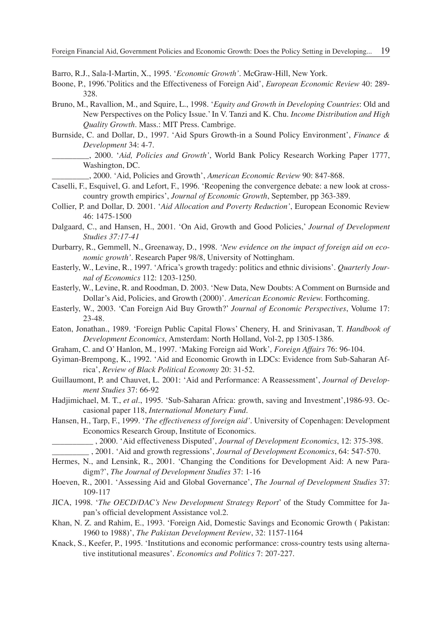Barro, R.J., Sala-I-Martin, X., 1995. '*Economic Growth'*. McGraw-Hill, New York.

- Boone, P., 1996.'Politics and the Effectiveness of Foreign Aid', *European Economic Review* 40: 289- 328.
- Bruno, M., Ravallion, M., and Squire, L., 1998. '*Equity and Growth in Developing Countries*: Old and New Perspectives on the Policy Issue.' In V. Tanzi and K. Chu. *Income Distribution and High Quality Growth.* Mass.: MIT Press. Cambrige.
- Burnside, C. and Dollar, D., 1997. 'Aid Spurs Growth-in a Sound Policy Environment', *Finance & Development* 34: 4-7.
	- \_\_\_\_\_\_\_\_\_, 2000. '*Aid, Policies and Growth'*, World Bank Policy Research Working Paper 1777, Washington, DC.

\_\_\_\_\_\_\_\_\_, 2000. 'Aid, Policies and Growth', *American Economic Review* 90: 847-868.

- Caselli, F., Esquivel, G. and Lefort, F., 1996. 'Reopening the convergence debate: a new look at crosscountry growth empirics', *Journal of Economic Growth*, September, pp 363-389.
- Collier, P. and Dollar, D. 2001. '*Aid Allocation and Poverty Reduction'*, European Economic Review 46: 1475-1500
- Dalgaard, C., and Hansen, H., 2001. 'On Aid, Growth and Good Policies,' *Journal of Development Studies 37:17-41*
- Durbarry, R., Gemmell, N., Greenaway, D., 1998*. 'New evidence on the impact of foreign aid on economic growth'*. Research Paper 98/8, University of Nottingham.
- Easterly, W., Levine, R., 1997. 'Africa's growth tragedy: politics and ethnic divisions'. *Quarterly Journal of Economics* 112: 1203-1250.
- Easterly, W., Levine, R. and Roodman, D. 2003. 'New Data, New Doubts: A Comment on Burnside and Dollar's Aid, Policies, and Growth (2000)'. *American Economic Review.* Forthcoming.
- Easterly, W., 2003. 'Can Foreign Aid Buy Growth?' *Journal of Economic Perspectives*, Volume 17: 23-48.
- Eaton, Jonathan., 1989. 'Foreign Public Capital Flows' Chenery, H. and Srinivasan, T. *Handbook of Development Economics,* Amsterdam: North Holland, Vol-2, pp 1305-1386.
- Graham, C. and O' Hanlon, M., 1997. 'Making Foreign aid Work'*, Foreign Affairs* 76: 96-104.
- Gyiman-Brempong, K., 1992. 'Aid and Economic Growth in LDCs: Evidence from Sub-Saharan Africa', *Review of Black Political Economy* 20: 31-52.
- Guillaumont, P. and Chauvet, L. 2001: 'Aid and Performance: A Reassessment', *Journal of Development Studies* 37: 66-92
- Hadjimichael, M. T., *et al*., 1995. 'Sub-Saharan Africa: growth, saving and Investment',1986-93. Occasional paper 118, *International Monetary Fund*.
- Hansen, H., Tarp, F., 1999. '*The effectiveness of foreign aid'*. University of Copenhagen: Development Economics Research Group, Institute of Economics.
	- \_\_\_\_\_\_\_\_\_\_ , 2000. 'Aid effectiveness Disputed', *Journal of Development Economics*, 12: 375-398.
	- \_\_\_\_\_\_\_\_\_ , 2001. 'Aid and growth regressions', *Journal of Development Economics*, 64: 547-570.
- Hermes, N., and Lensink, R., 2001. 'Changing the Conditions for Development Aid: A new Paradigm?', *The Journal of Development Studies* 37: 1-16
- Hoeven, R., 2001. 'Assessing Aid and Global Governance', *The Journal of Development Studies* 37: 109-117
- JICA, 1998. '*The OECD/DAC's New Development Strategy Report*' of the Study Committee for Japan's official development Assistance vol.2.
- Khan, N. Z. and Rahim, E., 1993. 'Foreign Aid, Domestic Savings and Economic Growth ( Pakistan: 1960 to 1988)', *The Pakistan Development Review*, 32: 1157-1164
- Knack, S., Keefer, P., 1995. 'Institutions and economic performance: cross-country tests using alternative institutional measures'. *Economics and Politics* 7: 207-227.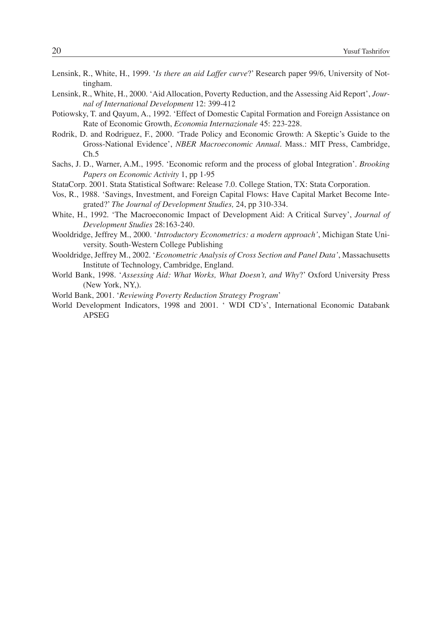| Lensink, R., White, H., 1999. ' <i>Is there an aid Laffer curve</i> ?' Research paper 99/6, University of Not- |  |  |  |  |
|----------------------------------------------------------------------------------------------------------------|--|--|--|--|
| tingham.                                                                                                       |  |  |  |  |

- Lensink, R., White, H., 2000. 'Aid Allocation, Poverty Reduction, and the Assessing Aid Report', *Journal of International Development* 12: 399-412
- Potiowsky, T. and Qayum, A., 1992. 'Effect of Domestic Capital Formation and Foreign Assistance on Rate of Economic Growth, *Economia Internazionale* 45: 223-228.
- Rodrik, D. and Rodriguez, F., 2000. 'Trade Policy and Economic Growth: A Skeptic's Guide to the Gross-National Evidence', *NBER Macroeconomic Annual*. Mass.: MIT Press, Cambridge,  $Ch.5$
- Sachs, J. D., Warner, A.M., 1995. 'Economic reform and the process of global Integration'. *Brooking Papers on Economic Activity* 1, pp 1-95
- StataCorp. 2001. Stata Statistical Software: Release 7.0. College Station, TX: Stata Corporation.
- Vos, R., 1988. 'Savings, Investment, and Foreign Capital Flows: Have Capital Market Become Integrated?' *The Journal of Development Studies,* 24, pp 310-334.
- White, H., 1992. 'The Macroeconomic Impact of Development Aid: A Critical Survey', *Journal of Development Studies* 28:163-240.
- Wooldridge, Jeffrey M., 2000. '*Introductory Econometrics: a modern approach'*, Michigan State University. South-Western College Publishing
- Wooldridge, Jeffrey M., 2002. '*Econometric Analysis of Cross Section and Panel Data'*, Massachusetts Institute of Technology, Cambridge, England.
- World Bank, 1998. '*Assessing Aid: What Works, What Doesn't, and Why*?' Oxford University Press (New York, NY,).
- World Bank, 2001. '*Reviewing Poverty Reduction Strategy Program*'
- World Development Indicators, 1998 and 2001. ' WDI CD's', International Economic Databank APSEG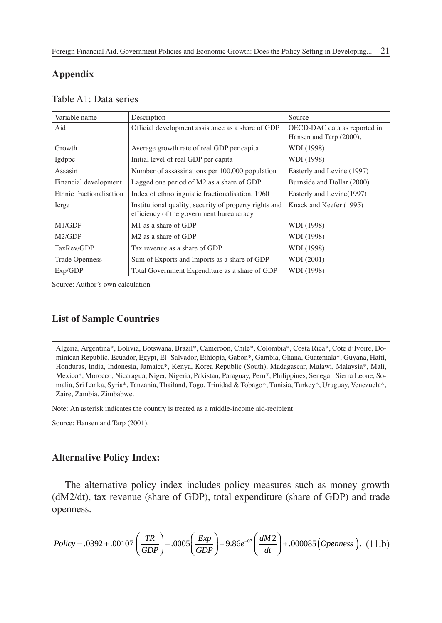## **Appendix**

|  | Table A1: Data series |
|--|-----------------------|
|  |                       |
|  |                       |

| Variable name            | Description                                            | Source                       |
|--------------------------|--------------------------------------------------------|------------------------------|
| Aid                      | Official development assistance as a share of GDP      | OECD-DAC data as reported in |
|                          |                                                        | Hansen and Tarp (2000).      |
| Growth                   | Average growth rate of real GDP per capita             | WDI (1998)                   |
| Igdppc                   | Initial level of real GDP per capita                   | WDI (1998)                   |
| Assasin                  | Number of assassinations per 100,000 population        | Easterly and Levine (1997)   |
| Financial development    | Lagged one period of M2 as a share of GDP              | Burnside and Dollar (2000)   |
| Ethnic fractionalisation | Index of ethnolinguistic fractionalisation, 1960       | Easterly and Levine (1997)   |
| Icrge                    | Institutional quality; security of property rights and | Knack and Keefer (1995)      |
|                          | efficiency of the government bureaucracy               |                              |
| M1/GDP                   | M <sub>1</sub> as a share of GDP                       | WDI (1998)                   |
| M2/GDP                   | M <sub>2</sub> as a share of GDP                       | WDI (1998)                   |
| TaxRev/GDP               | Tax revenue as a share of GDP                          | WDI (1998)                   |
| <b>Trade Openness</b>    | Sum of Exports and Imports as a share of GDP           | WDI (2001)                   |
| Exp/GDP                  | Total Government Expenditure as a share of GDP         | WDI (1998)                   |

Source: Author's own calculation

## **List of Sample Countries**

Algeria, Argentina\*, Bolivia, Botswana, Brazil\*, Cameroon, Chile\*, Colombia\*, Costa Rica\*, Cote d'Ivoire, Dominican Republic, Ecuador, Egypt, El- Salvador, Ethiopia, Gabon\*, Gambia, Ghana, Guatemala\*, Guyana, Haiti, Honduras, India, Indonesia, Jamaica\*, Kenya, Korea Republic (South), Madagascar, Malawi, Malaysia\*, Mali, Mexico\*, Morocco, Nicaragua, Niger, Nigeria, Pakistan, Paraguay, Peru\*, Philippines, Senegal, Sierra Leone, Somalia, Sri Lanka, Syria\*, Tanzania, Thailand, Togo, Trinidad & Tobago\*, Tunisia, Turkey\*, Uruguay, Venezuela\*, Zaire, Zambia, Zimbabwe.

Note: An asterisk indicates the country is treated as a middle-income aid-recipient

Source: Hansen and Tarp (2001).

### **Alternative Policy Index:**

The alternative policy index includes policy measures such as money growth (dM2/dt), tax revenue (share of GDP), total expenditure (share of GDP) and trade openness.

$$
Policy = .0392 + .00107 \left( \frac{TR}{GDP} \right) - .0005 \left( \frac{Exp}{GDP} \right) - 9.86 e^{-07} \left( \frac{dM2}{dt} \right) + .000085 \left( Openness \right), (11.b)
$$